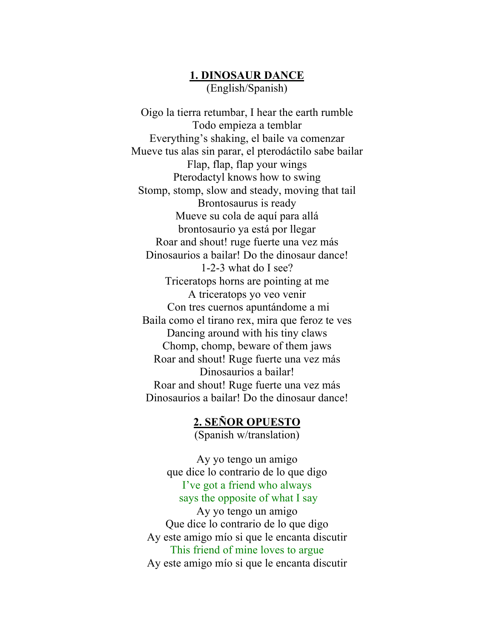# **1. DINOSAUR DANCE** (English/Spanish)

Oigo la tierra retumbar, I hear the earth rumble Todo empieza a temblar Everything's shaking, el baile va comenzar Mueve tus alas sin parar, el pterodáctilo sabe bailar Flap, flap, flap your wings Pterodactyl knows how to swing Stomp, stomp, slow and steady, moving that tail Brontosaurus is ready Mueve su cola de aquí para allá brontosaurio ya está por llegar Roar and shout! ruge fuerte una vez más Dinosaurios a bailar! Do the dinosaur dance! 1-2-3 what do I see? Triceratops horns are pointing at me A triceratops yo veo venir Con tres cuernos apuntándome a mi Baila como el tirano rex, mira que feroz te ves Dancing around with his tiny claws Chomp, chomp, beware of them jaws Roar and shout! Ruge fuerte una vez más Dinosaurios a bailar! Roar and shout! Ruge fuerte una vez más Dinosaurios a bailar! Do the dinosaur dance!

# **2. SEÑOR OPUESTO** (Spanish w/translation)

Ay yo tengo un amigo que dice lo contrario de lo que digo I've got a friend who always says the opposite of what I say Ay yo tengo un amigo Que dice lo contrario de lo que digo Ay este amigo mío si que le encanta discutir This friend of mine loves to argue Ay este amigo mío si que le encanta discutir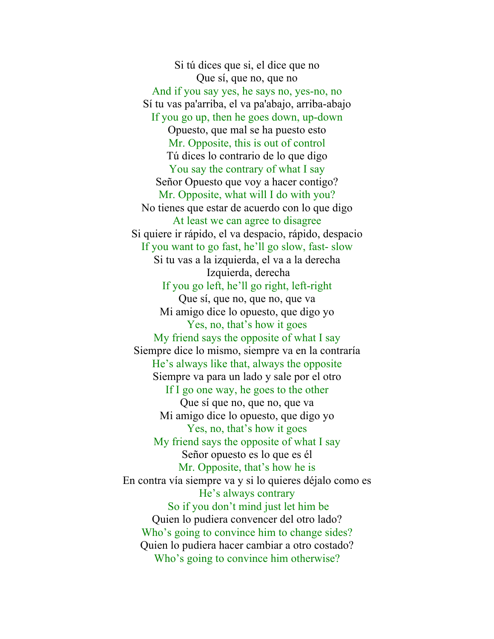Si tú dices que si, el dice que no Que sí, que no, que no And if you say yes, he says no, yes-no, no Sí tu vas pa'arriba, el va pa'abajo, arriba-abajo If you go up, then he goes down, up-down Opuesto, que mal se ha puesto esto Mr. Opposite, this is out of control Tú dices lo contrario de lo que digo You say the contrary of what I say Señor Opuesto que voy a hacer contigo? Mr. Opposite, what will I do with you? No tienes que estar de acuerdo con lo que digo At least we can agree to disagree Si quiere ir rápido, el va despacio, rápido, despacio If you want to go fast, he'll go slow, fast- slow Si tu vas a la izquierda, el va a la derecha Izquierda, derecha If you go left, he'll go right, left-right Que sí, que no, que no, que va Mi amigo dice lo opuesto, que digo yo Yes, no, that's how it goes My friend says the opposite of what I say Siempre dice lo mismo, siempre va en la contraría He's always like that, always the opposite Siempre va para un lado y sale por el otro If I go one way, he goes to the other Que sí que no, que no, que va Mi amigo dice lo opuesto, que digo yo Yes, no, that's how it goes My friend says the opposite of what I say Señor opuesto es lo que es él Mr. Opposite, that's how he is En contra vía siempre va y si lo quieres déjalo como es He's always contrary So if you don't mind just let him be Quien lo pudiera convencer del otro lado? Who's going to convince him to change sides? Quien lo pudiera hacer cambiar a otro costado? Who's going to convince him otherwise?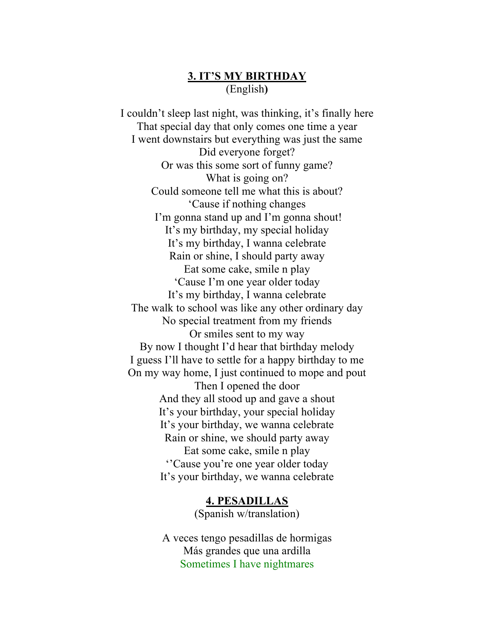# **3. IT'S MY BIRTHDAY** (English**)**

I couldn't sleep last night, was thinking, it's finally here That special day that only comes one time a year I went downstairs but everything was just the same Did everyone forget? Or was this some sort of funny game? What is going on? Could someone tell me what this is about? 'Cause if nothing changes I'm gonna stand up and I'm gonna shout! It's my birthday, my special holiday It's my birthday, I wanna celebrate Rain or shine, I should party away Eat some cake, smile n play 'Cause I'm one year older today It's my birthday, I wanna celebrate The walk to school was like any other ordinary day No special treatment from my friends Or smiles sent to my way By now I thought I'd hear that birthday melody I guess I'll have to settle for a happy birthday to me On my way home, I just continued to mope and pout Then I opened the door And they all stood up and gave a shout It's your birthday, your special holiday It's your birthday, we wanna celebrate Rain or shine, we should party away Eat some cake, smile n play ''Cause you're one year older today It's your birthday, we wanna celebrate

> **4. PESADILLAS** (Spanish w/translation)

A veces tengo pesadillas de hormigas Más grandes que una ardilla Sometimes I have nightmares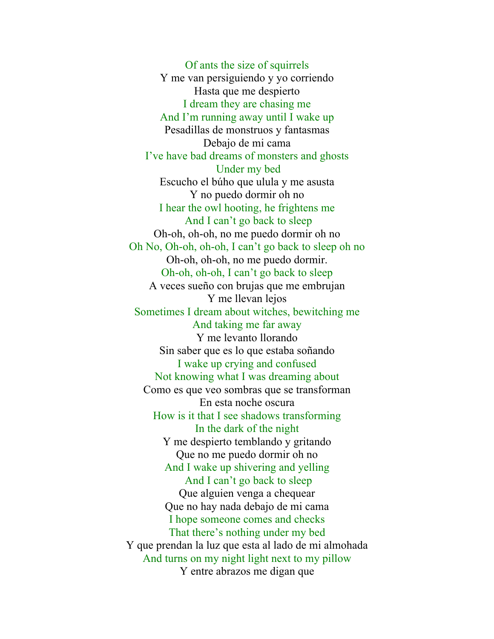Of ants the size of squirrels Y me van persiguiendo y yo corriendo Hasta que me despierto I dream they are chasing me And I'm running away until I wake up Pesadillas de monstruos y fantasmas Debajo de mi cama I've have bad dreams of monsters and ghosts Under my bed Escucho el búho que ulula y me asusta Y no puedo dormir oh no I hear the owl hooting, he frightens me And I can't go back to sleep Oh-oh, oh-oh, no me puedo dormir oh no Oh No, Oh-oh, oh-oh, I can't go back to sleep oh no Oh-oh, oh-oh, no me puedo dormir. Oh-oh, oh-oh, I can't go back to sleep A veces sueño con brujas que me embrujan Y me llevan lejos Sometimes I dream about witches, bewitching me And taking me far away Y me levanto llorando Sin saber que es lo que estaba soñando I wake up crying and confused Not knowing what I was dreaming about Como es que veo sombras que se transforman En esta noche oscura How is it that I see shadows transforming In the dark of the night Y me despierto temblando y gritando Que no me puedo dormir oh no And I wake up shivering and yelling And I can't go back to sleep Que alguien venga a chequear Que no hay nada debajo de mi cama I hope someone comes and checks That there's nothing under my bed Y que prendan la luz que esta al lado de mi almohada And turns on my night light next to my pillow Y entre abrazos me digan que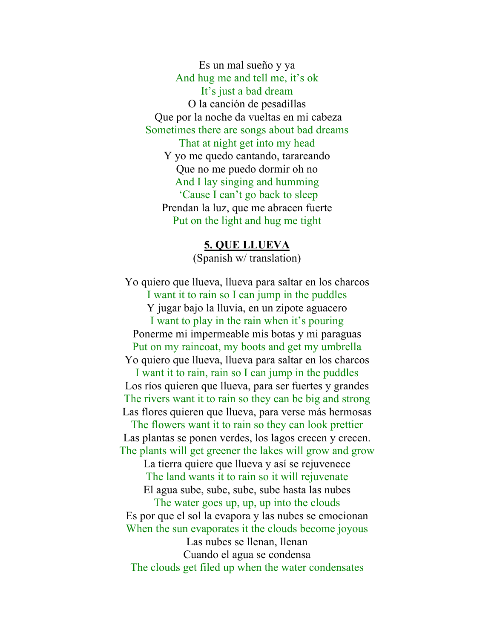Es un mal sueño y ya And hug me and tell me, it's ok It's just a bad dream O la canción de pesadillas Que por la noche da vueltas en mi cabeza Sometimes there are songs about bad dreams That at night get into my head Y yo me quedo cantando, tarareando Que no me puedo dormir oh no And I lay singing and humming 'Cause I can't go back to sleep Prendan la luz, que me abracen fuerte Put on the light and hug me tight

#### **5. QUE LLUEVA**

(Spanish w/ translation)

Yo quiero que llueva, llueva para saltar en los charcos I want it to rain so I can jump in the puddles Y jugar bajo la lluvia, en un zipote aguacero I want to play in the rain when it's pouring Ponerme mi impermeable mis botas y mi paraguas Put on my raincoat, my boots and get my umbrella Yo quiero que llueva, llueva para saltar en los charcos I want it to rain, rain so I can jump in the puddles Los ríos quieren que llueva, para ser fuertes y grandes The rivers want it to rain so they can be big and strong Las flores quieren que llueva, para verse más hermosas The flowers want it to rain so they can look prettier Las plantas se ponen verdes, los lagos crecen y crecen. The plants will get greener the lakes will grow and grow La tierra quiere que llueva y así se rejuvenece The land wants it to rain so it will rejuvenate El agua sube, sube, sube, sube hasta las nubes The water goes up, up, up into the clouds Es por que el sol la evapora y las nubes se emocionan When the sun evaporates it the clouds become joyous Las nubes se llenan, llenan Cuando el agua se condensa The clouds get filed up when the water condensates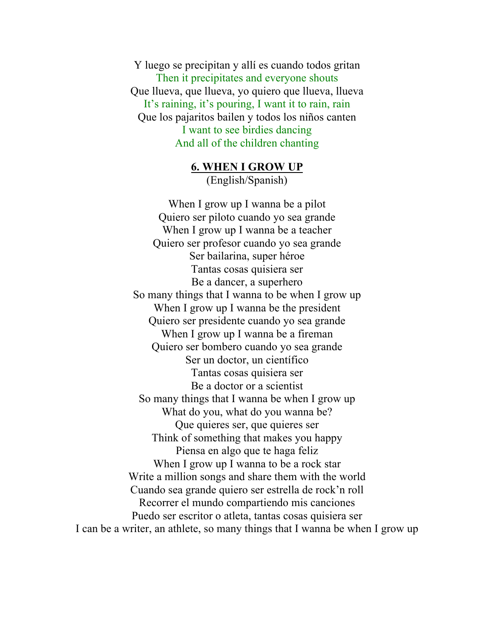Y luego se precipitan y allí es cuando todos gritan Then it precipitates and everyone shouts Que llueva, que llueva, yo quiero que llueva, llueva It's raining, it's pouring, I want it to rain, rain Que los pajaritos bailen y todos los niños canten I want to see birdies dancing And all of the children chanting

> **6. WHEN I GROW UP** (English/Spanish)

When I grow up I wanna be a pilot Quiero ser piloto cuando yo sea grande When I grow up I wanna be a teacher Quiero ser profesor cuando yo sea grande Ser bailarina, super héroe Tantas cosas quisiera ser Be a dancer, a superhero So many things that I wanna to be when I grow up When I grow up I wanna be the president Quiero ser presidente cuando yo sea grande When I grow up I wanna be a fireman Quiero ser bombero cuando yo sea grande Ser un doctor, un científico Tantas cosas quisiera ser Be a doctor or a scientist So many things that I wanna be when I grow up What do you, what do you wanna be? Que quieres ser, que quieres ser Think of something that makes you happy Piensa en algo que te haga feliz When I grow up I wanna to be a rock star Write a million songs and share them with the world Cuando sea grande quiero ser estrella de rock'n roll Recorrer el mundo compartiendo mis canciones Puedo ser escritor o atleta, tantas cosas quisiera ser I can be a writer, an athlete, so many things that I wanna be when I grow up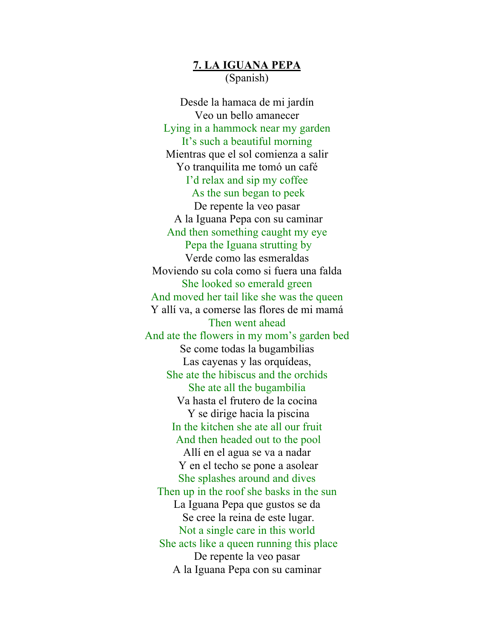### **7. LA IGUANA PEPA** (Spanish)

Desde la hamaca de mi jardín Veo un bello amanecer Lying in a hammock near my garden It's such a beautiful morning Mientras que el sol comienza a salir Yo tranquilita me tomó un café I'd relax and sip my coffee As the sun began to peek De repente la veo pasar A la Iguana Pepa con su caminar And then something caught my eye Pepa the Iguana strutting by Verde como las esmeraldas Moviendo su cola como si fuera una falda She looked so emerald green And moved her tail like she was the queen Y allí va, a comerse las flores de mi mamá Then went ahead And ate the flowers in my mom's garden bed Se come todas la bugambilias Las cayenas y las orquídeas, She ate the hibiscus and the orchids She ate all the bugambilia Va hasta el frutero de la cocina Y se dirige hacia la piscina In the kitchen she ate all our fruit And then headed out to the pool Allí en el agua se va a nadar Y en el techo se pone a asolear She splashes around and dives Then up in the roof she basks in the sun La Iguana Pepa que gustos se da Se cree la reina de este lugar. Not a single care in this world She acts like a queen running this place De repente la veo pasar A la Iguana Pepa con su caminar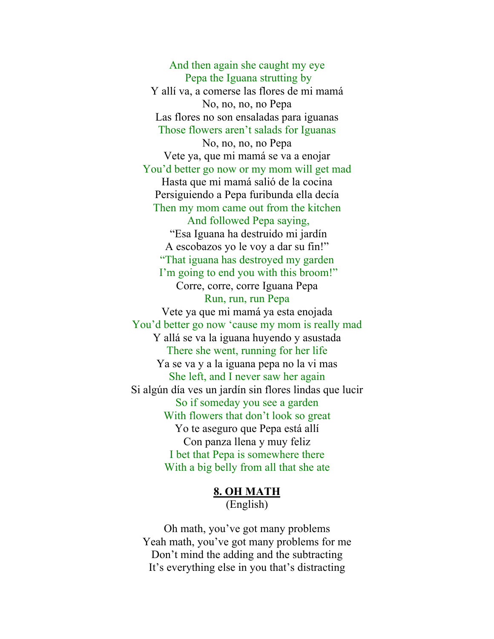And then again she caught my eye Pepa the Iguana strutting by Y allí va, a comerse las flores de mi mamá No, no, no, no Pepa Las flores no son ensaladas para iguanas Those flowers aren't salads for Iguanas No, no, no, no Pepa Vete ya, que mi mamá se va a enojar You'd better go now or my mom will get mad Hasta que mi mamá salió de la cocina Persiguiendo a Pepa furibunda ella decía Then my mom came out from the kitchen And followed Pepa saying, "Esa Iguana ha destruido mi jardín A escobazos yo le voy a dar su fin!" "That iguana has destroyed my garden I'm going to end you with this broom!" Corre, corre, corre Iguana Pepa Run, run, run Pepa Vete ya que mi mamá ya esta enojada You'd better go now 'cause my mom is really mad Y allá se va la iguana huyendo y asustada There she went, running for her life Ya se va y a la iguana pepa no la vi mas She left, and I never saw her again Si algún día ves un jardín sin flores lindas que lucir So if someday you see a garden With flowers that don't look so great Yo te aseguro que Pepa está allí Con panza llena y muy feliz I bet that Pepa is somewhere there With a big belly from all that she ate

> **8. OH MATH** (English)

Oh math, you've got many problems Yeah math, you've got many problems for me Don't mind the adding and the subtracting It's everything else in you that's distracting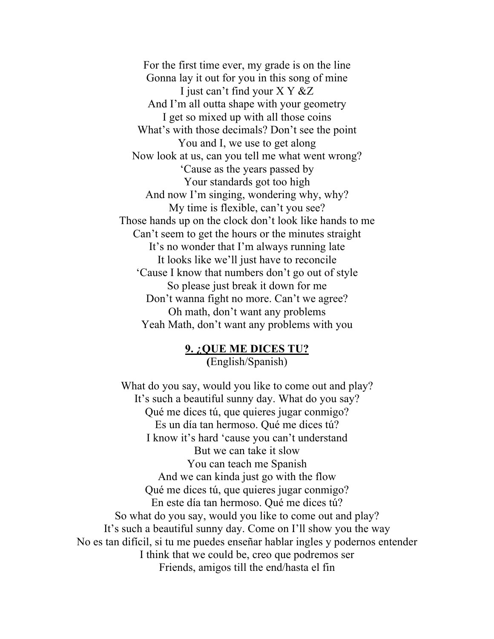For the first time ever, my grade is on the line Gonna lay it out for you in this song of mine I just can't find your X Y &Z And I'm all outta shape with your geometry I get so mixed up with all those coins What's with those decimals? Don't see the point You and I, we use to get along Now look at us, can you tell me what went wrong? 'Cause as the years passed by Your standards got too high And now I'm singing, wondering why, why? My time is flexible, can't you see? Those hands up on the clock don't look like hands to me Can't seem to get the hours or the minutes straight It's no wonder that I'm always running late It looks like we'll just have to reconcile 'Cause I know that numbers don't go out of style So please just break it down for me Don't wanna fight no more. Can't we agree? Oh math, don't want any problems Yeah Math, don't want any problems with you

> **9. ¿QUE ME DICES TU? (**English/Spanish)

What do you say, would you like to come out and play? It's such a beautiful sunny day. What do you say? Qué me dices tú, que quieres jugar conmigo? Es un día tan hermoso. Qué me dices tú? I know it's hard 'cause you can't understand But we can take it slow You can teach me Spanish And we can kinda just go with the flow Qué me dices tú, que quieres jugar conmigo? En este día tan hermoso. Qué me dices tú? So what do you say, would you like to come out and play? It's such a beautiful sunny day. Come on I'll show you the way No es tan difícil, si tu me puedes enseñar hablar ingles y podernos entender I think that we could be, creo que podremos ser Friends, amigos till the end/hasta el fin